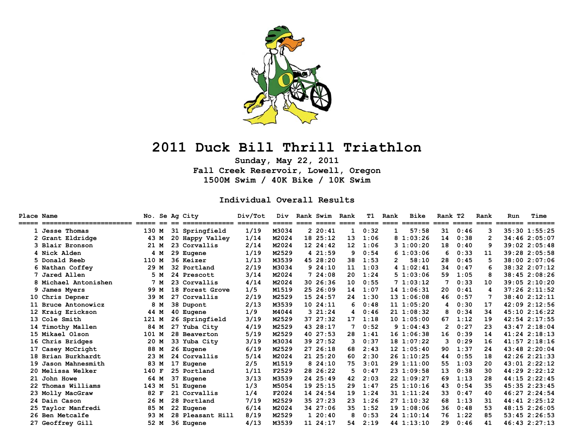

# **2011 Duck Bill Thrill Triathlon**

**Sunday, May 22, 2011 Fall Creek Reservoir, Lowell, Oregon 1500M Swim / 40K Bike / 10K Swim** 

#### **Individual Overall Results**

| Place Name | ======================= |       |      | No. Se Ag City<br>============= | Div/Tot | Div<br>$=====$ | $====$ | Rank Swim<br>===== | Rank             | т1<br>$=$ $=$ $=$ $=$ $=$ | Rank<br>$====$       | Bike                                 | Rank T2      | $=$ $=$ $=$ $=$ $=$ | Rank<br>$====$ | Run<br>======= | Time<br>$=$ $=$ $=$ $=$ $=$ $=$ $=$ |
|------------|-------------------------|-------|------|---------------------------------|---------|----------------|--------|--------------------|------------------|---------------------------|----------------------|--------------------------------------|--------------|---------------------|----------------|----------------|-------------------------------------|
|            | 1 Jesse Thomas          | 130 M |      | 31 Springfield                  | 1/19    | M3034          |        | 220:41             | $\mathbf{1}$     | 0:32                      | $\mathbf{1}$         | $=$ $=$ $=$ $=$ $=$ $=$ $=$<br>57:58 | $====$<br>31 | 0:46                | 3              |                | $35:30$ 1:55:25                     |
|            | 2 Grant Eldridge        | 43 M  |      | 20 Happy Valley                 | 1/14    | M2024          |        | 18, 25:12          | 13               | 1:06                      |                      | 81:03:26                             | 14           | 0:38                | 2              |                | 34:46 2:05:07                       |
|            | 3 Blair Bronson         |       | 21 M | 23 Corvallis                    | 2/14    | M2024          |        | 12 24:42           | 12 <sup>12</sup> | 1:06                      |                      | 31:00:20                             | 18           | 0:40                | 9              |                | 39:022:05:48                        |
|            | 4 Nick Alden            |       | 4 M  | 29 Eugene                       | 1/19    | M2529          |        | 4 21:59            | 9                | 0:54                      |                      | 61:03:06                             | 6            | 0:33                | 11             |                | 39:28 2:05:58                       |
|            | 5 Donald Reeb           | 110 M |      | 36 Keizer                       | 1/13    | M3539          |        | 45 28:20           | 38               | 1:53                      | $\mathbf{2}^{\circ}$ | 58:10                                | 28           | 0:45                | 5              |                | 38:00 2:07:06                       |
|            | 6 Nathan Coffey         |       | 29 M | 32 Portland                     | 2/19    | M3034          |        | 924:10             | 11               | 1:03                      |                      | 41:02:41                             | 34           | 0:47                | 6              |                | 38:32 2:07:12                       |
|            | 7 Jared Allen           |       | 5 M  | 24 Prescott                     | 3/14    | M2024          |        | 724:08             | 20               | 1:24                      |                      | 51:03:06                             | 59           | 1:05                | 8              |                | 38:45 2:08:26                       |
|            | 8 Michael Antonishen    |       | 7 M  | 23 Corvallis                    | 4/14    | M2024          |        | 30 26:36           | 10               | 0:55                      |                      | 71:03:12                             | 7            | 0:33                | 10             |                | 39:05 2:10:20                       |
|            | 9 James Myers           |       | 99 M | 18 Forest Grove                 | 1/5     | M1519          |        | 25 26:09           | 14               | 1:07                      |                      | 141:06:31                            | 20           | 0:41                | 4              |                | 37:262:11:52                        |
|            | 10 Chris Depner         |       | 39 M | 27 Corvallis                    | 2/19    | M2529          |        | 15 24:57           | 24               | 1:30                      |                      | 131:06:08                            | 46           | 0:57                |                |                | 38:40 2:12:11                       |
|            | 11 Bruce Antonowicz     |       | 8 M  | 38 Dupont                       | 2/13    | M3539          |        | 10 24:11           | 6                | 0:48                      |                      | 111:05:20                            | 4            | 0:30                | 17             |                | 42:09 2:12:56                       |
|            | 12 Kraig Erickson       |       | 44 M | 40 Eugene                       | 1/9     | M4044          |        | 321:24             | 4                | 0:46                      |                      | 211:08:32                            | 8            | 0:34                | 34             |                | 45:10 2:16:22                       |
|            | 13 Cole Smith           | 121 M |      | 26 Springfield                  | 3/19    | M2529          |        | 37 27:32           | 17               | 1:18                      |                      | 101:05:00                            | 67           | 1:12                | 19             |                | $42:54$ $2:17:55$                   |
|            | 14 Timothy Mallen       |       | 84 M | 27 Yuba City                    | 4/19    | M2529          |        | 43 28:17           |                  | 0:52                      |                      | 91:04:43                             | 2            | 0:27                | 23             |                | 43:472:18:04                        |
|            | 15 Mikael Olson         | 101 M |      | 28 Beaverton                    | 5/19    | M2529          |        | 40 27:53           | 28               | 1:41                      |                      | $16$ $1:06:38$                       | 16           | 0:39                | 14             |                | $41:24$ $2:18:13$                   |
|            | 16 Chris Bridges        |       | 20 M | 33 Yuba City                    | 3/19    | M3034          |        | 39 27:52           | 3                | 0:37                      |                      | 18 1:07:22                           | 3            | 0:29                | 16             |                | 41:572:18:16                        |
|            | 17 Casey McCright       |       | 88 M | 26 Eugene                       | 6/19    | M2529          |        | 27, 26:18          | 68               | 2:43                      |                      | 121:05:40                            | 90           | 1:37                | 24             |                | 43:48 2:20:04                       |
|            | 18 Brian Burkhardt      |       | 23 M | 24 Corvallis                    | 5/14    | M2024          |        | 21 25:20           | 60               | 2:30                      |                      | 26 1:10:25                           | 44           | 0:55                | 18             |                | 42:262:21:33                        |
|            | 19 Jason Mahnesmith     |       | 83 M | 17 Eugene                       | 2/5     | M1519          |        | 824:10             | 75               | 3:01                      |                      | 29 1:11:00                           | 55           | 1:03                | 20             |                | $43:01$ $2:22:12$                   |
|            | 20 Melissa Welker       | 140 F |      | 25 Portland                     | 1/11    | F2529          |        | 28 26:22           | 5.               | 0:47                      |                      | 23 1:09:58                           | 13           | 0:38                | 30             |                | 44:29 2:22:12                       |
|            | 21 John Howe            |       | 64 M | 37 Eugene                       | 3/13    | M3539          |        | 24 25:49           | 42               | 2:03                      |                      | 22 1:09:27                           | 69           | 1:13                | 28             |                | $44:15$ $2:22:45$                   |
|            | Thomas Williams         | 143 M |      | 51 Eugene                       | 1/3     | M5054          |        | 19 25:15           | 29               | 1:47                      |                      | 25 1:10:16                           | 43           | 0:54                | 35             |                | $45:35$ $2:23:45$                   |
|            | 23 Molly MacGraw        | 82 F  |      | 21 Corvallis                    | 1/4     | F2024          |        | 14 24:54           | 19               | 1:24                      |                      | 31 1:11:24                           | 33           | 0:47                | 40             |                | 46:27 2:24:54                       |
|            | 24 Dain Cason           |       | 26 M | 28 Portland                     | 7/19    | M2529          |        | 35 27:23           | 23               | 1:26                      |                      | 27 1:10:32                           | 68           | 1:13                | 31             |                | 44:41 2:25:12                       |
|            | 25 Taylor Manfredi      |       | 85 M | 22 Eugene                       | 6/14    | M2024          |        | 34 27:06           | 35               | 1:52                      |                      | 191:08:06                            | 36           | 0:48                | 53             |                | 48:15 2:26:05                       |
|            | 26 Ben Metcalfe         |       | 93 M | 28 Pleasant Hill                | 8/19    | M2529          |        | 120:40             | 8                | 0:53                      |                      | 24 1:10:14                           | 76           | 1:22                | 85             |                | $53:45$ $2:26:53$                   |
|            | 27 Geoffrey Gill        |       | 52 M | 36 Eugene                       | 4/13    | M3539          |        | 11 24:17           | 54               | 2:19                      |                      | 44 1:13:10                           | 29           | 0:46                | 41             |                | $46:43$ $2:27:13$                   |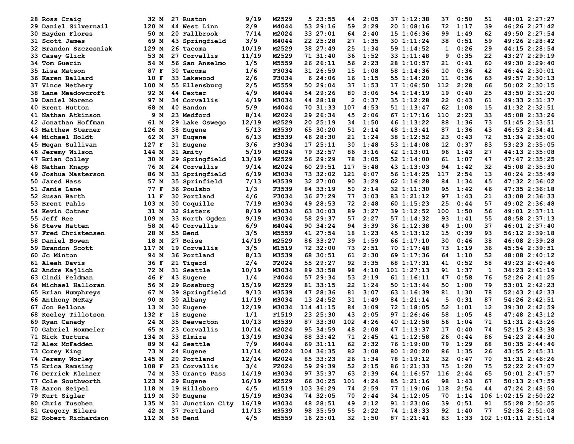| 28 Ross Craig           | 32 M  | 27 Ruston               | 9/19         | M2529          | 523:55               | 44   | 2:05            | 37 1:12:38               | 37  | 0:50         | 51 | 48:01 2:27:27                      |
|-------------------------|-------|-------------------------|--------------|----------------|----------------------|------|-----------------|--------------------------|-----|--------------|----|------------------------------------|
| 29 Daniel Silvernail    | 120 M | 44 West Linn            | 2/9          | M4044          | 53 29:16             | 59   | 2:29            | 20 1:08:16               | 72  | 1:17         | 39 | 46:26 2:27:42                      |
| 30 Hayden Flores        | 50 M  | 20 Fallbrook            | 7/14         | M2024          | 33 27:01             | 64   | 2:40            | 15 1:06:36               | 99  | 1:49         | 62 | 49:50 2:27:54                      |
| 31 Scott James          | 69 M  | 43 Springfield          | 3/9          | M4044          | 22 25:28             | 27   | 1:35            | 30 1:11:24               | 38  | 0:51         | 59 | 49:26 2:28:42                      |
| 32 Brandon Szczesniak   | 129 M | 26 Tacoma               | 10/19        | M2529          | 38 27:49             | 25   | 1:34            | 59 1:14:52               | 1   | 0:26         | 29 | 44:15 2:28:54                      |
| 33 Casey Glick          | 53 M  | 27 Corvallis            | 11/19        | M2529          | 71 31:40             | 36   | 1:52            | 33 1:11:48               | 9   | 0:35         | 22 | 43:27 2:29:19                      |
| <b>34 Tom Guerin</b>    | 54 M  | 56 San Anselmo          | 1/5          | M5559          | 26 26:11             | 56   | 2:23            | 28 1:10:57               | 21  | 0:41         | 60 | 49:30 2:29:40                      |
| 35 Lisa Matson          | 87 F  | 30 Tacoma               | 1/6          | F3034          | 31 26:59             | 15   | 1:08            | 58 1:14:36               | 10  | 0:36         | 42 | 46:44 2:30:01                      |
| 36 Karen Ballard        | 10 F  | 33 Lakewood             | 2/6          | F3034          | 624:06               | 16   | 1:15            | 55 1:14:20               | 11  | 0:36         | 63 | 49:57 2:30:13                      |
| 37 Vince Nethery        | 100 M | 55 Ellensburg           | 2/5          | M5559          | 50 29:04             | 37   | 1:53            | 171:06:50                | 112 | 2:28         | 66 | $50:02$ $2:30:15$                  |
| 38 Lane Meadowcroft     | 92 M  | 44 Dexter               | 4/9          | M4044          | 54 29:26             | 80   | 3:06            | 54 1:14:19               | 19  | 0:40         | 25 | 43:50 2:31:20                      |
| <b>39 Daniel Moreno</b> | 97 M  | 34 Corvallis            | 4/19         | M3034          | 44 28:18             | 2    | 0:37            | 35 1:12:28               | 22  | 0:43         | 61 | 49:33 2:31:37                      |
| <b>40 Brent Hutton</b>  | 68 M  | 40 Bandon               | 5/9          | M4044          | 70 31:33             | 107  | 4:53            | 51 1:13:47               | 62  | 1:08         | 15 | 41:32 2:32:51                      |
| 41 Nathan Atkinson      | 9 M   | 23 Medford              | 8/14         | M2024          | 29 26:34             | 45   | 2:06            | 67 1:17:16               | 110 | 2:23         | 33 | 45:08 2:33:26                      |
| 42 Jonathan Hoffman     | 61 M  | 29 Lake Oswego          | 12/19        | M2529          | 20 25:19             | 34   | 1:50            | 46 1:13:22               | 88  | 1:36         | 73 | 51:45 2:33:51                      |
| 43 Matthew Sterner      | 126 M | 38 Eugene               | 5/13         | M3539          | 65 30:20             | 51   | 2:14            | 48 1:13:41               | 87  | 1:36         | 43 | 46:53 2:34:41                      |
| 44 Michael Holdt        | 62 M  | 37 Eugene               | 6/13         | M3539          | 46 28:30             | 21   | 1:24            | 38 1:12:52               | 23  | 0:43         | 72 | 51:34 2:35:00                      |
| 45 Megan Sullivan       | 127 F | 31 Eugene               | 3/6          | F3034          | 17 25:11             | 30   | 1:48            | 53 1:14:08               | 12  | 0:37         | 83 | 53:23 2:35:05                      |
| 46 Jeremy Wilson        | 144 M | 31 Amity                | 5/19         | M3034          | 79 32:57             | 86   | 3:16            | 42 1:13:01               | 96  | 1:43         | 27 | 44:13 2:35:08                      |
| 47 Brian Colley         | 30 M  | 29 Springfield          | 13/19        | M2529          | 56 29:29             | 78   | 3:05            | 52 1:14:00               | 61  | 1:07         | 47 | 47:47 2:35:25                      |
| 48 Nathan Knapp         | 76 M  | 24 Corvallis            | 9/14         | M2024          | 60 29:51             | 117  | 5:48            | 43 1:13:03               | 94  | 1:42         | 32 | 45:08 2:35:30                      |
| 49 Joshua Masterson     | 86 M  | 33 Springfield          | 6/19         | M3034          | 73 32:02             | 121  | 6:07            | 56 1:14:25               | 117 | 2:54         | 13 | 40:24 2:35:49                      |
| 50 Jared Hass           | 57 M  | <b>35 Sprinfield</b>    | 7/13         | M3539          | 32 27:00             | 90   | 3:29            | 62 1:16:28               | 84  | 1:34         | 45 | 47:32 2:36:02                      |
| 51<br><b>Jamie Lane</b> | 77 F  | 36 Poulsbo              | 1/3          | F3539          | 84 33:19             | 50   | 2:14            | 32 1:11:30               | 95  | 1:42         | 46 | 47:35 2:36:18                      |
| 52 Susan Barth          | 11 F  | 30 Portland             | 4/6          | F3034          | 36 27:29             | 77   | 3:03            | 83 1:21:12               | 97  | 1:43         | 21 | 43:08 2:36:33                      |
| 53 Brent Pahls          | 103 M | 30 Coquille             | 7/19         | M3034          | 49 28:53             | 72   | 2:48            | 60 1:15:23               | 25  | 0:44         | 57 | 49:02 2:36:48                      |
| 54 Kevin Cotner         | 31 M  | 32 Sisters              | 8/19         | M3034          | 63 30:03             | 89   | 3:27            | 39 1:12:52               | 100 | 1:50         | 56 | 49:01 2:37:11                      |
| 55<br>Jeff Ree          | 109 M | 33 North Ogden          | 9/19         | M3034          | 58 29:37             | 57   | 2:27            | 57 1:14:32               | 93  | 1:41         | 55 | 48:58 2:37:13                      |
| <b>56 Steve Hatten</b>  | 58 M  | 40 Corvallis            | 6/9          | M4044          | 90 34:24             | 94   | 3:39            | 36 1:12:38               | 49  | 1:00         | 37 | 46:01 2:37:40                      |
| 57 Fred Christensen     | 28 M  | 55 Bend                 | 3/5          | M5559          | 41 27:54             | 18   | 1:23            | 45 1:13:12               | 15  | 0:39         | 93 | 56:12 2:39:18                      |
| 58 Daniel Bowen         | 18 M  | 27 Boise                | 14/19        | M2529          | 86 33:27             | 39   | 1:59            | 66 1:17:10               | 30  | 0:46         | 38 | 46:08 2:39:28                      |
| 59 Brandon Scott        | 117 M | 19 Corvallis            | 3/5          | M1519          | 72 32:00             | 73   | 2:51            | 70 1:17:48               | 73  | 1:19         | 36 | 45:54 2:39:51                      |
| 60 Jc Minton            | 94 M  | 36 Portland             | 8/13         | M3539          | 68 30:51             | 61   | 2:30            | 69 1:17:36               | 64  | 1:10         | 52 | 48:08 2:40:12                      |
|                         |       |                         | 2/4          | F2024          | 55 29:27             | 92   | 3:35            |                          | 41  | 0:52         | 58 | 49:23 2:40:46                      |
| 61 Aleah Davis          | 36 F  | 21 Tigard<br>31 Seattle | 10/19        | M3034          | 89 33:58             | 98   | 4:10            | 68 1:17:31<br>1011:27:13 | 91  | 1:37         | 1  | 34:23 2:41:19                      |
| 62 Andre Kajlich        | 72 M  |                         |              |                |                      | 53   |                 |                          | 47  |              | 76 |                                    |
| 63 Cindi Feldman        | 46 F  | 43 Eugene               | 1/4<br>15/19 | F4044<br>M2529 | 57 29:34<br>81 33:15 |      | 2:19<br>1:24    | 61 1:16:11               | 50  | 0:58<br>1:00 | 79 | 52:26 2:41:25<br>$53:01$ $2:42:23$ |
| 64 Michael Halloran     | 56 M  | 29 Roseburg             |              |                |                      | 22   |                 | 50 1:13:44               |     |              | 78 |                                    |
| 65 Brian Humphreys      | 67 M  | 39 Springfield          | 9/13         | M3539          | 47 28:36             | 81   | 3:07            | 63 1:16:39               | 81  | 1:30         | 87 | 52:43 2:42:33                      |
| 66 Anthony McKay        | 90 M  | 30 Albany               | 11/19        | M3034          | 13 24:52             | 31   | 1:49            | 84 1:21:14               | 5   | 0:31         |    | 54:26 2:42:51                      |
| 67 Jon Bellona          | 13 M  | 30 Eugene               | 12/19        | M3034          | 114 41:15            | 84   | 3:09            | 72 1:18:05               | 52  | 1:01         | 12 | 39:30 2:42:59                      |
| 68 Keeley Tillotson     | 132 F | 18 Eugene               | 1/1          | F1519          | 23 25:30             | 43   | 2:05            | 97 1:26:46               | 58  | 1:05         | 48 | 47:482:33:12                       |
| 69 Ryan Canady          | 24 M  | 35 Beaverton            | 10/13        | M3539          | 87 33:30             | 102  | 4:26            | 40 1:12:58               | 56  | 1:04         | 71 | 51:31 2:43:26                      |
| 70 Gabriel Hoxmeier     | 65 M  | 23 Corvallis            | 10/14        | M2024          | 95 34:59             | 48   | 2:08            | 47 1:13:37               | 17  | 0:40         | 74 | $52:15$ $2:43:38$                  |
| 71 Nick Turtura         | 134 M | 33 Elmira               | 13/19        | M3034          | 88 33:42             | 71   | 2:45            | 41 1:12:58               | 26  | 0:44         | 86 | 54:23 2:44:30                      |
| 72 Alex McFadden        |       | 89 M 42 Seattle         | 7/9          | M4044          | 69 31:11             | 62   | 2:32            | 76 1:19:00               | 79  | 1:29         | 68 | $50:35$ $2:44:46$                  |
| 73 Corey King           | 73 M  | 24 Eugene               | 11/14        | M2024          | 104 36:35            | 82   | 3:08            | 80 1:20:20               | 86  | 1:35         | 26 | 43:55 2:45:31                      |
| 74 Jeremy Worley        | 145 M | 20 Portland             | 12/14        | M2024          | 85 33:23             |      | 26 1:34         | 78 1:19:12               | 32  | 0:47         | 70 | 51:31 2:46:26                      |
| 75 Erica Ramsing        | 108 F | 23 Corvallis            | 3/4          | F2024          | 59 29:39             |      | $52 \quad 2:15$ | 86 1:21:33               | 75  | 1:20         | 75 | 52:22 2:47:07                      |
| 76 Derrick Kleiner      |       | 74 M 33 Grants Pass     | 14/19        | M3034          | 97 35:37             | 63 - | 2:39            | 64 1:16:57               | 116 | 2:44         | 65 | $50:01$ $2:47:57$                  |
| 77 Cole Southworth      | 123 M | 29 Eugene               | 16/19        | M2529          | 66 30:25             |      | 101 4:24        | 85 1:21:16               | 98  | 1:43         | 67 | 50:13 2:47:59                      |
| 78 Aaron Seipel         |       | 118 M 19 Hillsboro      | 4/5          | M1519          | 103 36:29            | 74   | 2:59            | 77 1:19:06               | 118 | 2:54         | 44 | 47:24 2:48:50                      |
| 79 Kurt Sigler          |       | 119 M 30 Eugene         | 15/19        | M3034          | 74 32:05             | 70 - | 2:44            | 34 1:12:05               | 70  | 1:14         |    | 106 1:02:15 2:50:22                |
| 80 Chris Tuschen        | 135 M | 31 Junction City        | 16/19        | M3034          | 48 28:51             | 49   | 2:12            | 91 1:23:06               | 39  | 0:51         | 91 | 55:28 2:50:25                      |
| 81 Gregory Eilers       |       | 42 M 37 Portland        | 11/13        | M3539          | 98 35:59             |      | 55 2:22         | 74 1:18:33               | 92  | 1:40         | 77 | 52:36 2:51:08                      |
| 82 Robert Richardson    |       | 112 M 58 Bend           | 4/5          | M5559          | 16 25:01             |      | 32 1:50         | 87 1:21:41               |     |              |    | 83 1:33 102 1:01:11 2:51:14        |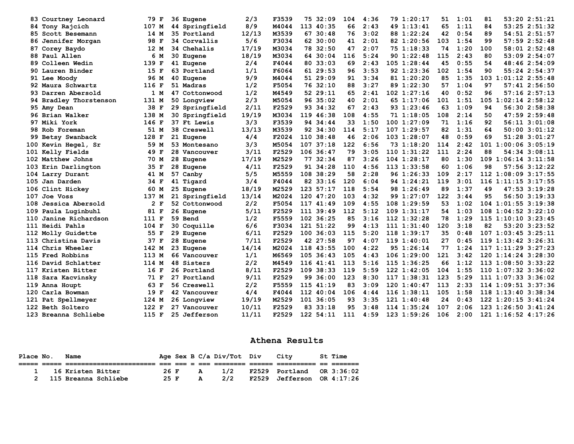|     | 83 Courtney Leonard     | 79 F    | 36 Eugene          | 2/3   | F3539 | 75 32:09      | 104 | 4:36 | 79 1:20:17      | 51  | 1:01 | 53:20 2:51:21<br>81       |
|-----|-------------------------|---------|--------------------|-------|-------|---------------|-----|------|-----------------|-----|------|---------------------------|
|     | 84 Tony Rajcich         | 107 M   | 44 Springfield     | 8/9   | M4044 | 113 40:35     | 66  | 2:43 | 49 1:13:41      | 65  | 1:11 | $53:25$ $2:51:32$<br>84   |
|     | 85 Scott Besemann       | 14 M    | 35 Portland        | 12/13 | M3539 | 67 30:48      | 76  | 3:02 | 88 1:22:24      | 42  | 0:54 | 54:51 2:51:57<br>89       |
|     | 86 Jennifer Morgan      | 98 F    | 34 Corvallis       | 5/6   | F3034 | 62 30:00      | 41  | 2:01 | 82 1:20:56      | 103 | 1:54 | 57:59 2:52:48<br>99       |
|     | 87 Corey Baydo          | 12 M    | 34 Chehalis        | 17/19 | M3034 | 78 32:50      | 47  | 2:07 | 75 1:18:33      | 74  | 1:20 | 100<br>58:01 2:52:48      |
|     | 88 Paul Allen           | 6 M     | 30 Eugene          | 18/19 | M3034 | 64 30:04      | 116 | 5:24 | 90 1:22:48      | 115 | 2:43 | 53:09 2:54:07<br>80       |
|     | <b>89 Colleen Wedin</b> | 139 F   | 41 Eugene          | 2/4   | F4044 | 80 33:03      | 69  | 2:43 | $105$ $1:28:44$ | 45  | 0:55 | 48:46 2:54:09<br>54       |
|     | 90 Lauren Binder        | 15 F    | 63 Portland        | 1/1   | F6064 | 61 29:53      | 96  | 3:53 | 92 1:23:36      | 102 | 1:54 | 55:24 2:54:37<br>90       |
|     | 91 Lee Moody            | 96 M    | 40 Eugene          | 9/9   | M4044 | 51 29:09      | 91  | 3:34 | 81 1:20:20      | 85  | 1:35 | 103 1:01:12 2:55:48       |
|     | 92 Maura Schwartz       | 116 F   | 51 Madras          | 1/2   | F5054 | 76 32:10      | 88  | 3:27 | 89 1:22:30      | 57  | 1:04 | 57:412:56:50<br>97        |
|     | 93 Darren Abersold      | 1 M     | 47 Cottonwood      | 1/2   | M4549 | 52 29:11      | 65  | 2:41 | $102$ $1:27:16$ | 40  | 0:52 | $57:16$ $2:57:13$<br>96   |
|     | 94 Bradley Thorstenson  | 131 M   | 50 Longview        | 2/3   | M5054 | 96 35:02      | 40  | 2:01 | 65 1:17:06      | 101 | 1:51 | 105 1:02:14 2:58:12       |
|     | 95 Amy Dean             | 38 F    | 29 Springfield     | 2/11  | F2529 | 93 34:32      | 67  | 2:43 | 93 1:23:46      | 63  | 1:09 | 94<br>56:30 2:58:38       |
|     | 96 Brian Walker         | 138 M   | 30 Springfield     | 19/19 | M3034 | 119 46:38     | 108 | 4:55 | 71 1:18:05      | 108 | 2:14 | 47:59 2:59:48<br>50       |
|     | 97 Miki York            | 146 F   | 37 Ft Lewis        | 3/3   | F3539 | 94 34:44      | 33  | 1:50 | 1001:27:09      | 71  | 1:16 | 56:11 3:01:08<br>92       |
|     | 98 Rob Foreman          | 51 M    | 38 Creswell        | 13/13 | M3539 | 92 34:30      | 114 | 5:17 | 107 1:29:57     | 82  | 1:31 | $50:00$ $3:01:12$<br>64   |
|     | 99 Betsy Swanback       | 128 F   | 21 Eugene          | 4/4   | F2024 | 110.38:48     | 46  | 2:06 | 103 1:28:07     | 48  | 0:59 | 51:28 3:01:27<br>69       |
| 100 | Kevin Hegel, Sr         | 59 M    | 53 Montesano       | 3/3   | M5054 | 107<br>37:18  | 122 | 6:56 | 73 1:18:20      | 114 | 2:42 | $101$ $1:00:06$ $3:05:19$ |
| 101 | Kelly Fields            | 49 F    | 28 Vancouver       | 3/11  | F2529 | $106$ 36:47   | 79  | 3:05 | $110$ $1:31:22$ | 111 | 2:24 | 54:34 3:08:11<br>88       |
| 102 | Matthew Johns           | 70 M    | 28 Eugene          | 17/19 | M2529 | 77 32:34      | 87  | 3:26 | $104$ $1:28:17$ | 80  | 1:30 | $109$ $1:06:14$ $3:11:58$ |
| 103 | Erin Darlington         | 35 F    | 28 Eugene          | 4/11  | F2529 | 91 34:28      | 110 | 4:56 | 113 1:33:58     | 60  | 1:06 | 98<br>57:56 3:12:22       |
|     | 104 Larry Durant        | 41 M    | 57 Canby           | 5/5   | M5559 | 108 38:29     | 58  | 2:28 | 96 1:26:33      | 109 | 2:17 | 112 1:08:09 3:17:55       |
| 105 | Jan Darden              | 34 F    | 41 Tigard          | 3/4   | F4044 | 82 33:16      | 120 | 6:04 | 94 1:24:21      | 119 | 3:01 | 116 1:11:15 3:17:55       |
| 106 | Clint Hickey            | 60 M    | 25 Eugene          | 18/19 | M2529 | 123 57:17     | 118 | 5:54 | 98 1:26:49      | 89  | 1:37 | $47:53$ 3:19:28<br>49     |
| 107 | Joe Voss                | 137 M   | 21 Springfield     | 13/14 | M2024 | 120 47:20     | 103 | 4:32 | 99 1:27:07      | 122 | 3:44 | 56:50 3:19:33<br>95       |
| 108 | Jessica Abersold        | 2 F     | 52 Cottonwood      | 2/2   | F5054 | 117 41:49     | 109 | 4:55 | $108$ 1:29:59   | 53  | 1:02 | $104$ 1:01:55 3:19:38     |
| 109 | Paula Luginbuhl         | 81 F    | 26 Eugene          | 5/11  | F2529 | $111 \t39:49$ | 112 | 5:12 | $109$ $1:31:17$ | 54  | 1:03 | $108$ 1:04:52 3:22:10     |
| 110 | Janine Richardson       | 111 F   | 59 Bend            | 1/2   | F5559 | 102 36:25     | 85  | 3:16 | $112$ $1:32:28$ | 78  | 1:29 | 115 1:10:10 3:23:45       |
|     | 111 Heidi Pahls         | $104$ F | <b>30 Coquille</b> | 6/6   | F3034 | 121 51:22     | 99  | 4:13 | 111 1:31:40     | 120 | 3:18 | 82<br>53:20 3:23:52       |
| 112 | Molly Guidette          | 55 F    | 29 Eugene          | 6/11  | F2529 | 100, 36:03    | 115 | 5:20 | $118$ $1:39:17$ | 35  | 0:48 | 107 1:03:45 3:25:11       |
| 113 | Christina Davis         | 37 F    | 28 Eugene          | 7/11  | F2529 | 42 27:58      | 97  | 4:07 | 1191:40:01      | 27  | 0:45 | $119$ $1:13:42$ $3:26:31$ |
|     | 114 Chris Wheeler       | 142 M   | 23 Eugene          | 14/14 | M2024 | 118 43:55     | 100 | 4:22 | 95 1:26:14      | 77  | 1:24 | $117$ $1:11:29$ $3:27:23$ |
|     | 115 Fred Robbins        | 113 M   | 66 Vancouver       | 1/1   | M6569 | $105$ 36:43   | 105 | 4:43 | $106$ $1:29:00$ | 121 | 3:42 | $120$ $1:14:24$ $3:28:30$ |
| 116 | David Schlatter         | 114 M   | 48 Sisters         | 2/2   | M4549 | 116 41:41     | 113 | 5:16 | 115 1:36:25     | 66  | 1:12 | 113 1:08:50 3:33:22       |
| 117 | Kristen Bitter          | 16 F    | 26 Portland        | 8/11  | F2529 | $109$ 38:33   | 119 | 5:59 | $122$ $1:42:05$ | 104 | 1:55 | 110 1:07:32 3:36:02       |
| 118 | Sara Kacvinsky          | 71 F    | 27 Portland        | 9/11  | F2529 | 99 36:00      | 123 | 8:30 | 117 1:38:31     | 123 | 5:29 | 111 1:07:33 3:36:02       |
| 119 | Anna Houpt              | 63 F    | 56 Creswell        | 2/2   | F5559 | 115 41:19     | 83  | 3:09 | 1201:40:47      | 113 | 2:33 | 114 1:09:51 3:37:36       |
| 120 | Carla Bowman            | 19 F    | 42 Vancouver       | 4/4   | F4044 | 112 40:04     | 106 | 4:44 | $116$ $1:38:11$ | 105 | 1:58 | 118 1:13:40 3:38:34       |
| 121 | Pat Spellmeyer          | 124 M   | <b>26 Longview</b> | 19/19 | M2529 | 101 36:05     | 93  | 3:35 | $121 \t1:40:48$ | 24  | 0:43 | $122$ $1:20:15$ $3:41:24$ |
|     | 122 Beth Soltero        | 122 F   | 27 Vancouver       | 10/11 | F2529 | 83 33:18      | 95  | 3:48 | 114 1:35:24     | 107 | 2:06 | 123 1:26:50 3:41:24       |
|     | 123 Breanna Schliebe    | 115 F   | 25 Jefferson       | 11/11 | F2529 | 122 54:11     | 111 | 4:59 | $123$ $1:59:26$ | 106 | 2:00 | $121$ $1:16:52$ $4:17:26$ |

## **Athena Results**

| Place No. | Name                   |      |  |              | Age Sex B C/a Div/Tot Div | Citv                              | <b>St Time</b> |
|-----------|------------------------|------|--|--------------|---------------------------|-----------------------------------|----------------|
|           |                        |      |  |              |                           |                                   |                |
|           | 16 Kristen Bitter      | 26 F |  | $\mathbf{A}$ | 1/2                       | F2529 Portland OR 3:36:02         |                |
|           | 2 115 Breanna Schliebe | 25 F |  | A            | 2/2                       | <b>F2529</b> Jefferson OR 4:17:26 |                |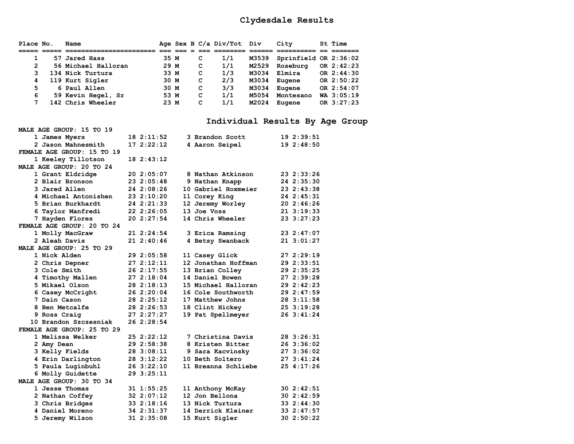| Place No.      | Name                |      |  |   | Age Sex B C/a Div/Tot Div |       | City                  | St Time      |
|----------------|---------------------|------|--|---|---------------------------|-------|-----------------------|--------------|
|                |                     |      |  |   |                           |       |                       |              |
|                | 57 Jared Hass       | 35 M |  | C | 1/1                       | M3539 | Sprinfield OR 2:36:02 |              |
| $\overline{2}$ | 56 Michael Halloran | 29 M |  | c | 1/1                       | M2529 | Roseburg              | OR $2:42:23$ |
| 3              | 134 Nick Turtura    | 33 M |  | C | 1/3                       | M3034 | Elmira                | OR 2:44:30   |
| 4              | 119 Kurt Sigler     | 30 M |  | c | 2/3                       | M3034 | Eugene                | OR $2:50:22$ |
| 5              | 6 Paul Allen        | 30 M |  | с | 3/3                       | M3034 | Eugene                | OR 2:54:07   |
| 6              | 59 Kevin Hegel, Sr  | 53 M |  | c | 1/1                       | M5054 | Montesano             | $WA$ 3:05:19 |
|                | 142 Chris Wheeler   | 23 M |  | C | 1/1                       | M2024 | Eugene                | OR 3:27:23   |

# **Individual Results By Age Group**

| MALE AGE GROUP: 15 TO 19   |             |                     |            |
|----------------------------|-------------|---------------------|------------|
| 1 James Myers              | 182:11:52   | 3 Brandon Scott     | 192:39:51  |
| 2 Jason Mahnesmith         | 172:22:12   | 4 Aaron Seipel      | 19 2:48:50 |
| FEMALE AGE GROUP: 15 TO 19 |             |                     |            |
| 1 Keeley Tillotson         | 18 2:43:12  |                     |            |
| MALE AGE GROUP: 20 TO 24   |             |                     |            |
| 1 Grant Eldridge           | 20 2:05:07  | 8 Nathan Atkinson   | 23 2:33:26 |
| 2 Blair Bronson            | 23 2:05:48  | 9 Nathan Knapp      | 24 2:35:30 |
| 3 Jared Allen              | 24 2:08:26  | 10 Gabriel Hoxmeier | 23 2:43:38 |
| 4 Michael Antonishen       | 23 2:10:20  | 11 Corey King       | 24 2:45:31 |
| 5 Brian Burkhardt          | 24 2:21:33  | 12 Jeremy Worley    | 20 2:46:26 |
| 6 Taylor Manfredi          | 22 2:26:05  | 13 Joe Voss         | 21 3:19:33 |
| 7 Hayden Flores            | 20 2:27:54  | 14 Chris Wheeler    | 23 3:27:23 |
| FEMALE AGE GROUP: 20 TO 24 |             |                     |            |
| 1 Molly MacGraw            | 21 2:24:54  | 3 Erica Ramsing     | 23 2:47:07 |
| 2 Aleah Davis              | 212:40:46   | 4 Betsy Swanback    | 213:01:27  |
| MALE AGE GROUP: 25 TO 29   |             |                     |            |
| 1 Nick Alden               | 29 2:05:58  | 11 Casey Glick      | 27 2:29:19 |
| <b>2 Chris Depner</b>      | 272:12:11   | 12 Jonathan Hoffman | 29 2:33:51 |
| 3 Cole Smith               | 262:17:55   | 13 Brian Colley     | 29 2:35:25 |
| 4 Timothy Mallen           | 272:18:04   | 14 Daniel Bowen     | 27 2:39:28 |
| 5 Mikael Olson             | 28 2:18:13  | 15 Michael Halloran | 29 2:42:23 |
| 6 Casey McCright           | 26 2:20:04  | 16 Cole Southworth  | 29 2:47:59 |
| 7 Dain Cason               | 28 2:25:12  | 17 Matthew Johns    | 28 3:11:58 |
| 8 Ben Metcalfe             | 28 2:26:53  | 18 Clint Hickey     | 25 3:19:28 |
| 9 Ross Craig               | 27 2:27:27  | 19 Pat Spellmeyer   | 26 3:41:24 |
| 10 Brandon Szczesniak      | 26 2:28:54  |                     |            |
| FEMALE AGE GROUP: 25 TO 29 |             |                     |            |
| 1 Melissa Welker           | 252:22:12   | 7 Christina Davis   | 28 3:26:31 |
| 2 Amy Dean                 | 29 2:58:38  | 8 Kristen Bitter    | 26 3:36:02 |
| 3 Kelly Fields             | 28 3:08:11  | 9 Sara Kacvinsky    | 27 3:36:02 |
| 4 Erin Darlington          | 28 3:12:22  | 10 Beth Soltero     | 27 3:41:24 |
| 5 Paula Luginbuhl          | 263:22:10   | 11 Breanna Schliebe | 25 4:17:26 |
| 6 Molly Guidette           | 29 3:25:11  |                     |            |
| MALE AGE GROUP: 30 TO 34   |             |                     |            |
| 1 Jesse Thomas             | 31 1:55:25  | 11 Anthony McKay    | 30 2:42:51 |
| 2 Nathan Coffey            | 32, 2:07:12 | 12 Jon Bellona      | 302:32:59  |
| 3 Chris Bridges            | 332:18:16   | 13 Nick Turtura     | 33 2:44:30 |
| 4 Daniel Moreno            | 34 2:31:37  | 14 Derrick Kleiner  | 33 2:47:57 |
| 5 Jeremy Wilson            | 31 2:35:08  | 15 Kurt Sigler      | 30 2:50:22 |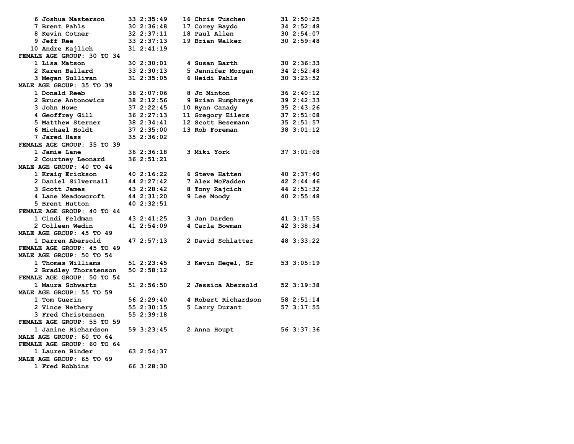| 6 Joshua Masterson         | 33 2:35:49     | 16 Chris Tuschen    | 31 2:50:25     |
|----------------------------|----------------|---------------------|----------------|
| 7 Brent Pahls              | $30 \t2:36:48$ | 17 Corey Baydo      | 34 2:52:48     |
| 8 Kevin Cotner             | $32$ $2:37:11$ | 18 Paul Allen       | 302:54:07      |
| 9 Jeff Ree                 | 33 2:37:13     | 19 Brian Walker     | 302:59:48      |
| 10 Andre Kajlich           | $31 \t2:41:19$ |                     |                |
| FEMALE AGE GROUP: 30 TO 34 |                |                     |                |
| 1 Lisa Matson              | 302:30:01      | 4 Susan Barth       | 30 2:36:33     |
| 2 Karen Ballard            | 33 2:30:13     | 5 Jennifer Morgan   | 34 2:52:48     |
| 3 Megan Sullivan           | $31 \t2:35:05$ | 6 Heidi Pahls       | $30$ $3:23:52$ |
| MALE AGE GROUP: 35 TO 39   |                |                     |                |
| 1 Donald Reeb              | 36 2:07:06     | 8 Jc Minton         | 362:30:12      |
| 2 Bruce Antonowicz         | 38 2:12:56     | 9 Brian Humphreys   | 39 2:42:33     |
| 3 John Howe                | 372:22:45      | 10 Ryan Canady      | 35 2:43:26     |
| <b>4 Geoffrey Gill</b>     | 362::27:13     | 11 Gregory Eilers   | 37 2:51:08     |
| 5 Matthew Sterner          | 38 2:34:41     | 12 Scott Besemann   | 35 2:51:57     |
| 6 Michael Holdt            | 372:35:00      | 13 Rob Foreman      | 38 3:01:12     |
| 7 Jared Hass               | 35 2:36:02     |                     |                |
| FEMALE AGE GROUP: 35 TO 39 |                |                     |                |
| 1 Jamie Lane               | 36 2:36:18     | 3 Miki York         | 373:01:08      |
| 2 Courtney Leonard         | 36 2:51:21     |                     |                |
| MALE AGE GROUP: 40 TO 44   |                |                     |                |
| 1 Kraig Erickson           | 40 2:16:22     | 6 Steve Hatten      | 40 2:37:40     |
| 2 Daniel Silvernail        | 44 2:27:42     | 7 Alex McFadden     | 42, 2:44:46    |
| 3 Scott James              | 43 2:28:42     | 8 Tony Rajcich      | 44 2:51:32     |
| 4 Lane Meadowcroft         | 44 2:31:20     | 9 Lee Moody         | 40 2:55:48     |
| 5 Brent Hutton             | 40 2:32:51     |                     |                |
| FEMALE AGE GROUP: 40 TO 44 |                |                     |                |
| 1 Cindi Feldman            | 43 2:41:25     | 3 Jan Darden        | 41 3:17:55     |
| 2 Colleen Wedin            | 41 2:54:09     | 4 Carla Bowman      | 42 3:38:34     |
| MALE AGE GROUP: 45 TO 49   |                |                     |                |
| 1 Darren Abersold          | 472:57:13      | 2 David Schlatter   | 48 3:33:22     |
| FEMALE AGE GROUP: 45 TO 49 |                |                     |                |
| MALE AGE GROUP: 50 TO 54   |                |                     |                |
| 1 Thomas Williams          |                |                     |                |
| 2 Bradley Thorstenson      | 51 2:23:45     | 3 Kevin Hegel, Sr   | 53 3:05:19     |
| FEMALE AGE GROUP: 50 TO 54 | 502:58:12      |                     |                |
|                            |                |                     |                |
| 1 Maura Schwartz           | 512:56:50      | 2 Jessica Abersold  | 52 3:19:38     |
| MALE AGE GROUP: 55 TO 59   |                |                     |                |
| 1 Tom Guerin               | 56 2:29:40     | 4 Robert Richardson | 58 2:51:14     |
| 2 Vince Nethery            | 552:30:15      | 5 Larry Durant      | 573:17:55      |
| 3 Fred Christensen         | 552:39:18      |                     |                |
| FEMALE AGE GROUP: 55 TO 59 |                |                     |                |
| 1 Janine Richardson        | 59 3:23:45     | 2 Anna Houpt        | 56 3:37:36     |
| MALE AGE GROUP: 60 TO 64   |                |                     |                |
| FEMALE AGE GROUP: 60 TO 64 |                |                     |                |
| 1 Lauren Binder            | 63 2:54:37     |                     |                |
| MALE AGE GROUP: 65 TO 69   |                |                     |                |
| 1 Fred Robbins             | 66 3:28:30     |                     |                |